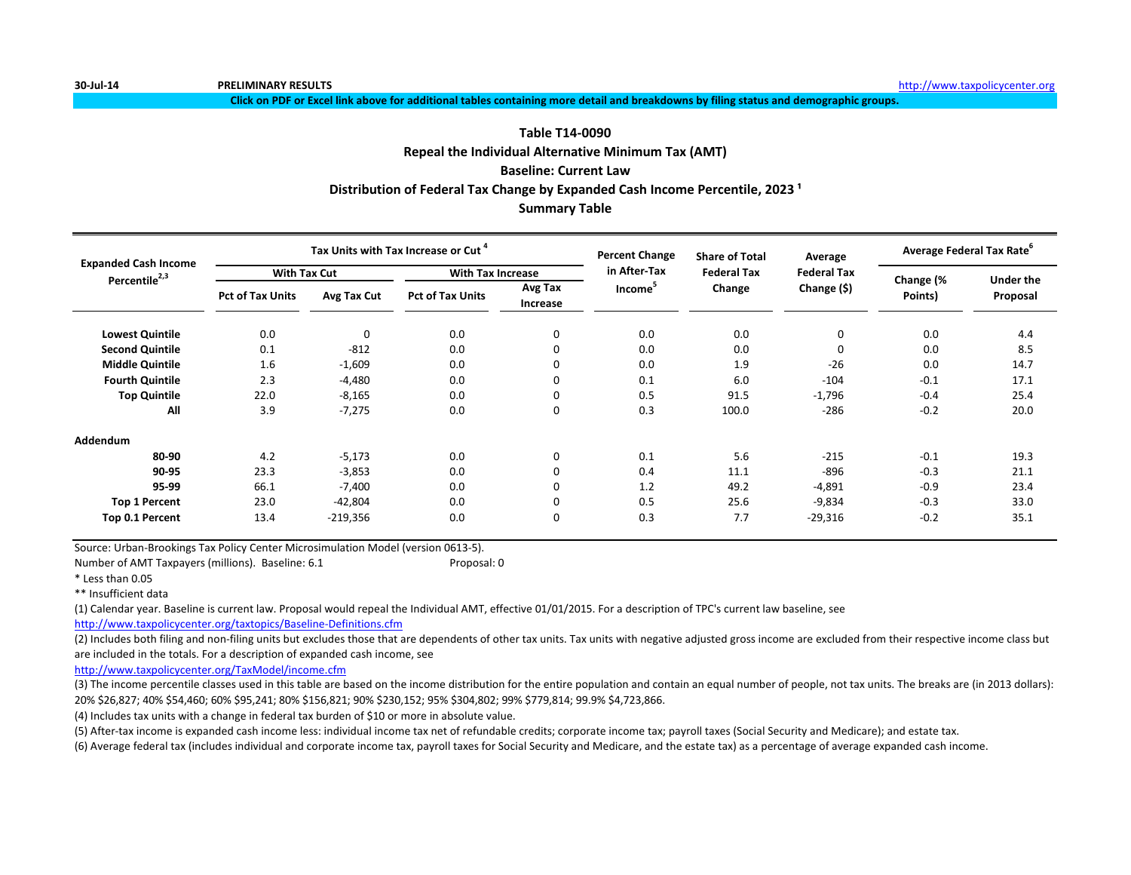**Click on PDF or Excel link above for additional tables containing more detail and breakdowns by filing status and demographic groups.**

# **Repeal the Individual Alternative Minimum Tax (AMT) Baseline: Current Law Summary Table Table T14-0090** Distribution of Federal Tax Change by Expanded Cash Income Percentile, 2023<sup>1</sup>

| <b>Expanded Cash Income</b> |                         |             | Tax Units with Tax Increase or Cut |                          | <b>Percent Change</b> | <b>Share of Total</b> | Average            | Average Federal Tax Rate <sup>6</sup> |                  |
|-----------------------------|-------------------------|-------------|------------------------------------|--------------------------|-----------------------|-----------------------|--------------------|---------------------------------------|------------------|
| Percentile <sup>2,3</sup>   | <b>With Tax Cut</b>     |             |                                    | <b>With Tax Increase</b> |                       | <b>Federal Tax</b>    | <b>Federal Tax</b> | Change (%                             | <b>Under the</b> |
|                             | <b>Pct of Tax Units</b> | Avg Tax Cut | <b>Pct of Tax Units</b>            | Avg Tax<br>Increase      | Income <sup>3</sup>   | Change                | Change (\$)        | Points)                               | Proposal         |
| <b>Lowest Quintile</b>      | 0.0                     | $\mathbf 0$ | 0.0                                | 0                        | 0.0                   | 0.0                   | 0                  | 0.0                                   | 4.4              |
| <b>Second Quintile</b>      | 0.1                     | $-812$      | 0.0                                | $\Omega$                 | 0.0                   | 0.0                   | 0                  | 0.0                                   | 8.5              |
| <b>Middle Quintile</b>      | 1.6                     | $-1,609$    | 0.0                                | $\mathbf 0$              | 0.0                   | 1.9                   | $-26$              | 0.0                                   | 14.7             |
| <b>Fourth Quintile</b>      | 2.3                     | $-4,480$    | 0.0                                | $\mathbf 0$              | 0.1                   | 6.0                   | $-104$             | $-0.1$                                | 17.1             |
| <b>Top Quintile</b>         | 22.0                    | $-8,165$    | 0.0                                | $\mathbf 0$              | 0.5                   | 91.5                  | $-1,796$           | $-0.4$                                | 25.4             |
| All                         | 3.9                     | $-7,275$    | 0.0                                | $\mathbf 0$              | 0.3                   | 100.0                 | $-286$             | $-0.2$                                | 20.0             |
| Addendum                    |                         |             |                                    |                          |                       |                       |                    |                                       |                  |
| 80-90                       | 4.2                     | $-5,173$    | 0.0                                | $\mathbf 0$              | 0.1                   | 5.6                   | $-215$             | $-0.1$                                | 19.3             |
| 90-95                       | 23.3                    | $-3,853$    | 0.0                                | 0                        | 0.4                   | 11.1                  | $-896$             | $-0.3$                                | 21.1             |
| 95-99                       | 66.1                    | $-7,400$    | 0.0                                | $\mathbf 0$              | 1.2                   | 49.2                  | $-4,891$           | $-0.9$                                | 23.4             |
| <b>Top 1 Percent</b>        | 23.0                    | $-42,804$   | 0.0                                | $\mathbf 0$              | 0.5                   | 25.6                  | $-9,834$           | $-0.3$                                | 33.0             |
| Top 0.1 Percent             | 13.4                    | $-219,356$  | 0.0                                | $\mathbf 0$              | 0.3                   | 7.7                   | $-29,316$          | $-0.2$                                | 35.1             |

Source: Urban-Brookings Tax Policy Center Microsimulation Model (version 0613-5).

Number of AMT Taxpayers (millions). Baseline: 6.1 Proposal: 0

\* Less than 0.05

\*\* Insufficient data

(1) Calendar year. Baseline is current law. Proposal would repeal the Individual AMT, effective 01/01/2015. For a description of TPC's current law baseline, see

<http://www.taxpolicycenter.org/taxtopics/Baseline-Definitions.cfm>

(2) Includes both filing and non-filing units but excludes those that are dependents of other tax units. Tax units with negative adjusted gross income are excluded from their respective income class but are included in the totals. For a description of expanded cash income, see

<http://www.taxpolicycenter.org/TaxModel/income.cfm>

(3) The income percentile classes used in this table are based on the income distribution for the entire population and contain an equal number of people, not tax units. The breaks are (in 2013 dollars): 20% \$26,827; 40% \$54,460; 60% \$95,241; 80% \$156,821; 90% \$230,152; 95% \$304,802; 99% \$779,814; 99.9% \$4,723,866.

(4) Includes tax units with a change in federal tax burden of \$10 or more in absolute value.

(5) After-tax income is expanded cash income less: individual income tax net of refundable credits; corporate income tax; payroll taxes (Social Security and Medicare); and estate tax.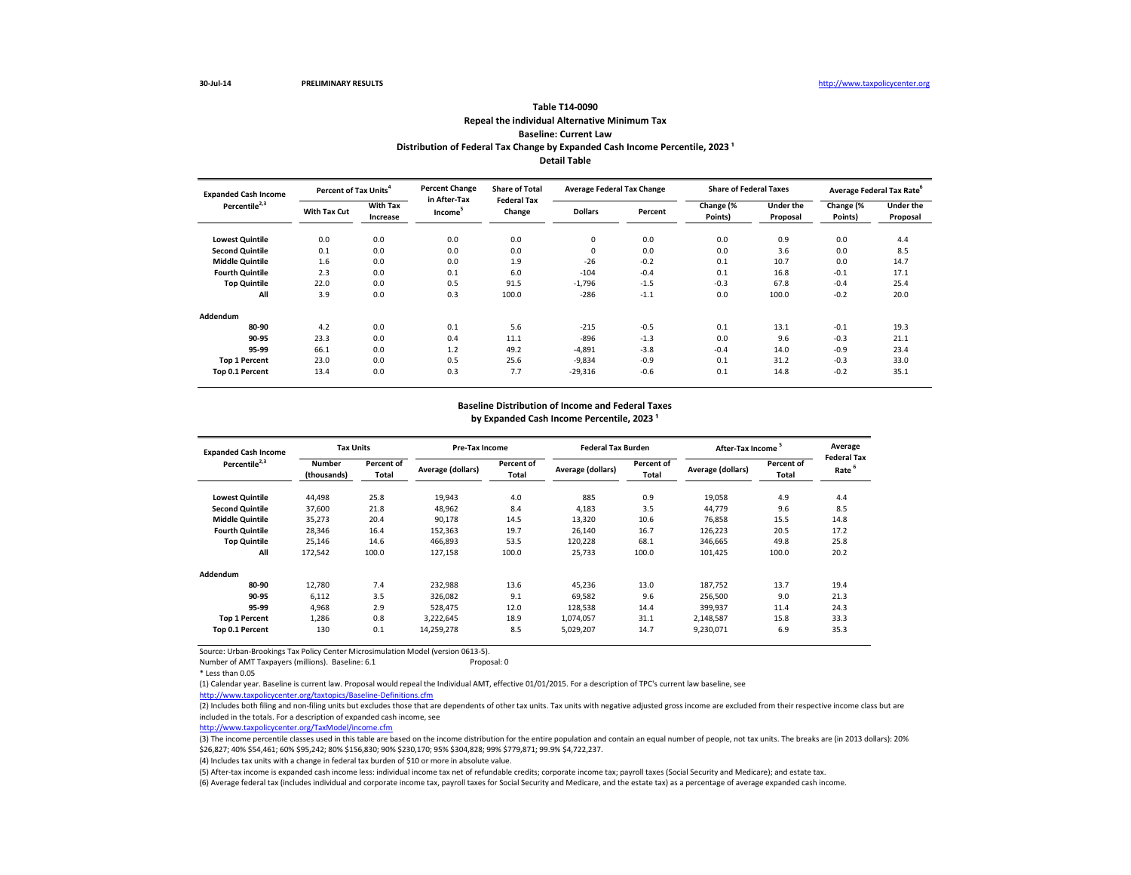## **Repeal the individual Alternative Minimum Tax Baseline: Current Law Table T14-0090** Distribution of Federal Tax Change by Expanded Cash Income Percentile, 2023<sup>1</sup> **Detail Table**

| <b>Expanded Cash Income</b> | Percent of Tax Units <sup>4</sup> |                             | <b>Percent Change</b><br>in After-Tax | <b>Share of Total</b><br><b>Federal Tax</b> | <b>Average Federal Tax Change</b> |         | <b>Share of Federal Taxes</b> |                              |                      | Average Federal Tax Rate <sup>6</sup> |
|-----------------------------|-----------------------------------|-----------------------------|---------------------------------------|---------------------------------------------|-----------------------------------|---------|-------------------------------|------------------------------|----------------------|---------------------------------------|
| Percentile <sup>2,3</sup>   | With Tax Cut                      | <b>With Tax</b><br>Increase | Income <sup>3</sup>                   | Change                                      | <b>Dollars</b>                    | Percent | Change (%<br>Points)          | <b>Under the</b><br>Proposal | Change (%<br>Points) | <b>Under the</b><br>Proposal          |
| <b>Lowest Quintile</b>      | 0.0                               | 0.0                         | 0.0                                   | 0.0                                         | 0                                 | 0.0     | 0.0                           | 0.9                          | 0.0                  | 4.4                                   |
| <b>Second Quintile</b>      | 0.1                               | 0.0                         | 0.0                                   | 0.0                                         | 0                                 | 0.0     | 0.0                           | 3.6                          | 0.0                  | 8.5                                   |
| <b>Middle Quintile</b>      | 1.6                               | 0.0                         | 0.0                                   | 1.9                                         | $-26$                             | $-0.2$  | 0.1                           | 10.7                         | 0.0                  | 14.7                                  |
| <b>Fourth Quintile</b>      | 2.3                               | 0.0                         | 0.1                                   | 6.0                                         | $-104$                            | $-0.4$  | 0.1                           | 16.8                         | $-0.1$               | 17.1                                  |
| <b>Top Quintile</b>         | 22.0                              | 0.0                         | 0.5                                   | 91.5                                        | $-1,796$                          | $-1.5$  | $-0.3$                        | 67.8                         | $-0.4$               | 25.4                                  |
| All                         | 3.9                               | 0.0                         | 0.3                                   | 100.0                                       | $-286$                            | $-1.1$  | 0.0                           | 100.0                        | $-0.2$               | 20.0                                  |
| Addendum                    |                                   |                             |                                       |                                             |                                   |         |                               |                              |                      |                                       |
| 80-90                       | 4.2                               | 0.0                         | 0.1                                   | 5.6                                         | $-215$                            | $-0.5$  | 0.1                           | 13.1                         | $-0.1$               | 19.3                                  |
| 90-95                       | 23.3                              | 0.0                         | 0.4                                   | 11.1                                        | $-896$                            | $-1.3$  | 0.0                           | 9.6                          | $-0.3$               | 21.1                                  |
| 95-99                       | 66.1                              | 0.0                         | 1.2                                   | 49.2                                        | $-4,891$                          | $-3.8$  | $-0.4$                        | 14.0                         | $-0.9$               | 23.4                                  |
| <b>Top 1 Percent</b>        | 23.0                              | 0.0                         | 0.5                                   | 25.6                                        | $-9,834$                          | $-0.9$  | 0.1                           | 31.2                         | $-0.3$               | 33.0                                  |
| Top 0.1 Percent             | 13.4                              | 0.0                         | 0.3                                   | 7.7                                         | $-29,316$                         | $-0.6$  | 0.1                           | 14.8                         | $-0.2$               | 35.1                                  |

## **Baseline Distribution of Income and Federal Taxes** by Expanded Cash Income Percentile, 2023<sup>1</sup>

| <b>Expanded Cash Income</b> | <b>Tax Units</b>             |                     |                   | Pre-Tax Income      |                   | <b>Federal Tax Burden</b> | After-Tax Income <sup>5</sup> |                     | Average                                 |
|-----------------------------|------------------------------|---------------------|-------------------|---------------------|-------------------|---------------------------|-------------------------------|---------------------|-----------------------------------------|
| Percentile <sup>2,3</sup>   | <b>Number</b><br>(thousands) | Percent of<br>Total | Average (dollars) | Percent of<br>Total | Average (dollars) | Percent of<br>Total       | Average (dollars)             | Percent of<br>Total | <b>Federal Tax</b><br>Rate <sup>6</sup> |
| <b>Lowest Quintile</b>      | 44,498                       | 25.8                | 19,943            | 4.0                 | 885               | 0.9                       | 19,058                        | 4.9                 | 4.4                                     |
| <b>Second Quintile</b>      | 37,600                       | 21.8                | 48,962            | 8.4                 | 4,183             | 3.5                       | 44,779                        | 9.6                 | 8.5                                     |
| <b>Middle Quintile</b>      | 35,273                       | 20.4                | 90,178            | 14.5                | 13,320            | 10.6                      | 76,858                        | 15.5                | 14.8                                    |
| <b>Fourth Quintile</b>      | 28,346                       | 16.4                | 152,363           | 19.7                | 26,140            | 16.7                      | 126,223                       | 20.5                | 17.2                                    |
| <b>Top Quintile</b>         | 25,146                       | 14.6                | 466,893           | 53.5                | 120,228           | 68.1                      | 346,665                       | 49.8                | 25.8                                    |
| All                         | 172,542                      | 100.0               | 127,158           | 100.0               | 25,733            | 100.0                     | 101,425                       | 100.0               | 20.2                                    |
| Addendum                    |                              |                     |                   |                     |                   |                           |                               |                     |                                         |
| 80-90                       | 12,780                       | 7.4                 | 232,988           | 13.6                | 45,236            | 13.0                      | 187,752                       | 13.7                | 19.4                                    |
| 90-95                       | 6,112                        | 3.5                 | 326,082           | 9.1                 | 69,582            | 9.6                       | 256,500                       | 9.0                 | 21.3                                    |
| 95-99                       | 4,968                        | 2.9                 | 528,475           | 12.0                | 128,538           | 14.4                      | 399,937                       | 11.4                | 24.3                                    |
| <b>Top 1 Percent</b>        | 1,286                        | 0.8                 | 3,222,645         | 18.9                | 1,074,057         | 31.1                      | 2,148,587                     | 15.8                | 33.3                                    |
| Top 0.1 Percent             | 130                          | 0.1                 | 14,259,278        | 8.5                 | 5,029,207         | 14.7                      | 9,230,071                     | 6.9                 | 35.3                                    |

Source: Urban-Brookings Tax Policy Center Microsimulation Model (version 0613-5).

Number of AMT Taxpayers (millions). Baseline: 6.1 Proposal: 0

(1) Calendar year. Baseline is current law. Proposal would repeal the Individual AMT, effective 01/01/2015. For a description of TPC's current law baseline, see

<http://www.taxpolicycenter.org/taxtopics/Baseline-Definitions.cfm>

(2) Includes both filing and non-filing units but excludes those that are dependents of other tax units. Tax units with negative adjusted gross income are excluded from their respective income class but are

included in the totals. For a description of expanded cash income, see

<http://www.taxpolicycenter.org/TaxModel/income.cfm>

(3) The income percentile classes used in this table are based on the income distribution for the entire population and contain an equal number of people, not tax units. The breaks are (in 2013 dollars): 20% \$26,827; 40% \$54,461; 60% \$95,242; 80% \$156,830; 90% \$230,170; 95% \$304,828; 99% \$779,871; 99.9% \$4,722,237.

(4) Includes tax units with a change in federal tax burden of \$10 or more in absolute value.

(5) After-tax income is expanded cash income less: individual income tax net of refundable credits; corporate income tax; payroll taxes (Social Security and Medicare); and estate tax.

<sup>\*</sup> Less than 0.05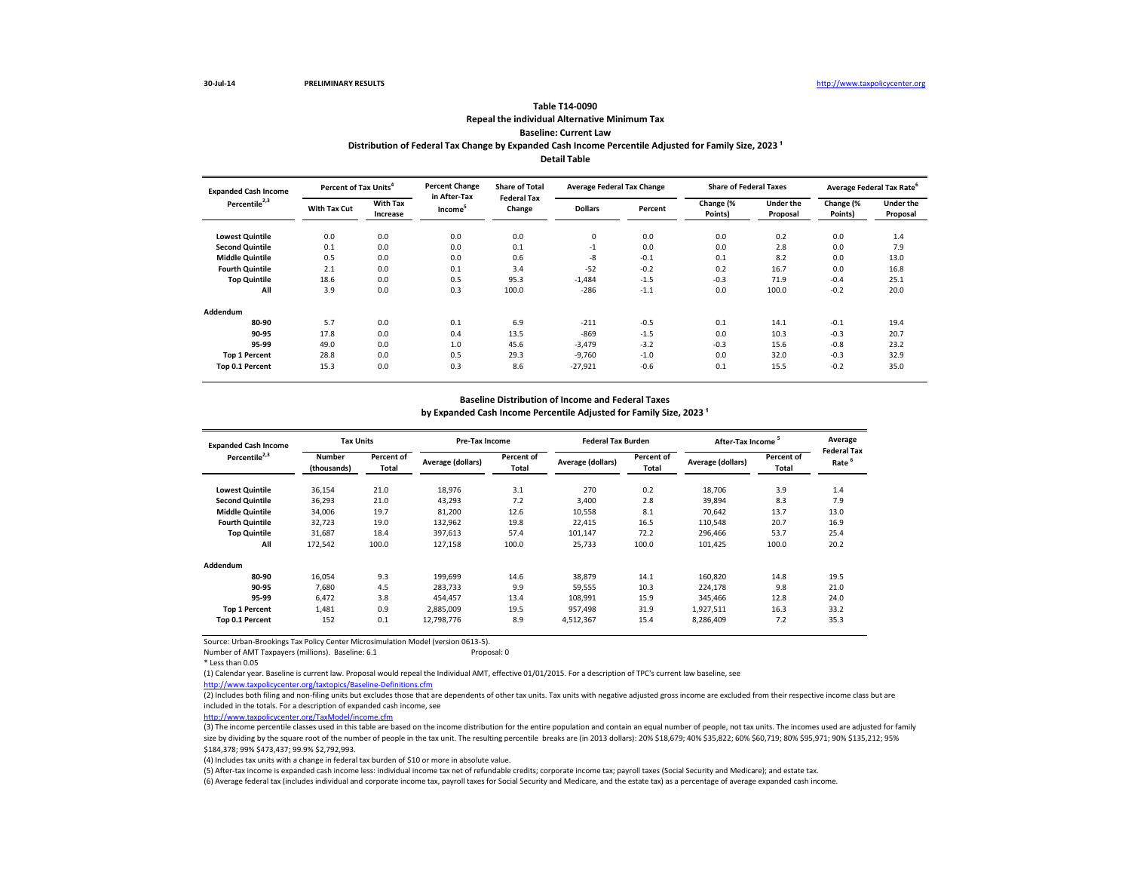# **Repeal the individual Alternative Minimum Tax Baseline: Current Law Table T14-0090** Distribution of Federal Tax Change by Expanded Cash Income Percentile Adjusted for Family Size, 2023<sup>1</sup> **Detail Table**

| <b>Expanded Cash Income</b> | Percent of Tax Units <sup>4</sup> |                             | <b>Percent Change</b><br>in After-Tax | <b>Share of Total</b><br><b>Federal Tax</b> | <b>Average Federal Tax Change</b> |         | <b>Share of Federal Taxes</b> |                              |                      | Average Federal Tax Rate <sup>6</sup> |
|-----------------------------|-----------------------------------|-----------------------------|---------------------------------------|---------------------------------------------|-----------------------------------|---------|-------------------------------|------------------------------|----------------------|---------------------------------------|
| Percentile <sup>2,3</sup>   | With Tax Cut                      | <b>With Tax</b><br>Increase | Income <sup>5</sup>                   | Change                                      | <b>Dollars</b>                    | Percent | Change (%<br>Points)          | <b>Under the</b><br>Proposal | Change (%<br>Points) | <b>Under the</b><br>Proposal          |
| <b>Lowest Quintile</b>      | 0.0                               | 0.0                         | 0.0                                   | 0.0                                         | 0                                 | 0.0     | 0.0                           | 0.2                          | 0.0                  | 1.4                                   |
| <b>Second Quintile</b>      | 0.1                               | 0.0                         | 0.0                                   | 0.1                                         | $-1$                              | 0.0     | 0.0                           | 2.8                          | 0.0                  | 7.9                                   |
| <b>Middle Quintile</b>      | 0.5                               | 0.0                         | 0.0                                   | 0.6                                         | -8                                | $-0.1$  | 0.1                           | 8.2                          | 0.0                  | 13.0                                  |
| <b>Fourth Quintile</b>      | 2.1                               | 0.0                         | 0.1                                   | 3.4                                         | $-52$                             | $-0.2$  | 0.2                           | 16.7                         | 0.0                  | 16.8                                  |
| <b>Top Quintile</b>         | 18.6                              | 0.0                         | 0.5                                   | 95.3                                        | $-1,484$                          | $-1.5$  | $-0.3$                        | 71.9                         | $-0.4$               | 25.1                                  |
| All                         | 3.9                               | 0.0                         | 0.3                                   | 100.0                                       | $-286$                            | $-1.1$  | 0.0                           | 100.0                        | $-0.2$               | 20.0                                  |
| Addendum                    |                                   |                             |                                       |                                             |                                   |         |                               |                              |                      |                                       |
| 80-90                       | 5.7                               | 0.0                         | 0.1                                   | 6.9                                         | $-211$                            | $-0.5$  | 0.1                           | 14.1                         | $-0.1$               | 19.4                                  |
| 90-95                       | 17.8                              | 0.0                         | 0.4                                   | 13.5                                        | $-869$                            | $-1.5$  | 0.0                           | 10.3                         | $-0.3$               | 20.7                                  |
| 95-99                       | 49.0                              | 0.0                         | 1.0                                   | 45.6                                        | $-3,479$                          | $-3.2$  | $-0.3$                        | 15.6                         | $-0.8$               | 23.2                                  |
| <b>Top 1 Percent</b>        | 28.8                              | 0.0                         | 0.5                                   | 29.3                                        | $-9,760$                          | $-1.0$  | 0.0                           | 32.0                         | $-0.3$               | 32.9                                  |
| Top 0.1 Percent             | 15.3                              | 0.0                         | 0.3                                   | 8.6                                         | $-27,921$                         | $-0.6$  | 0.1                           | 15.5                         | $-0.2$               | 35.0                                  |

## **Baseline Distribution of Income and Federal Taxes**

by Expanded Cash Income Percentile Adjusted for Family Size, 2023<sup>1</sup>

| <b>Expanded Cash Income</b> |                              | <b>Tax Units</b>    |                   | Pre-Tax Income             |                   | <b>Federal Tax Burden</b> | After-Tax Income  |                     | Average                    |
|-----------------------------|------------------------------|---------------------|-------------------|----------------------------|-------------------|---------------------------|-------------------|---------------------|----------------------------|
| Percentile <sup>2,3</sup>   | <b>Number</b><br>(thousands) | Percent of<br>Total | Average (dollars) | <b>Percent of</b><br>Total | Average (dollars) | Percent of<br>Total       | Average (dollars) | Percent of<br>Total | <b>Federal Tax</b><br>Rate |
| <b>Lowest Quintile</b>      | 36,154                       | 21.0                | 18,976            | 3.1                        | 270               | 0.2                       | 18,706            | 3.9                 | 1.4                        |
| <b>Second Quintile</b>      | 36,293                       | 21.0                | 43,293            | 7.2                        | 3,400             | 2.8                       | 39,894            | 8.3                 | 7.9                        |
| <b>Middle Quintile</b>      | 34.006                       | 19.7                | 81.200            | 12.6                       | 10,558            | 8.1                       | 70.642            | 13.7                | 13.0                       |
| <b>Fourth Quintile</b>      | 32.723                       | 19.0                | 132,962           | 19.8                       | 22,415            | 16.5                      | 110,548           | 20.7                | 16.9                       |
| <b>Top Quintile</b>         | 31,687                       | 18.4                | 397,613           | 57.4                       | 101,147           | 72.2                      | 296,466           | 53.7                | 25.4                       |
| All                         | 172,542                      | 100.0               | 127,158           | 100.0                      | 25,733            | 100.0                     | 101,425           | 100.0               | 20.2                       |
| Addendum                    |                              |                     |                   |                            |                   |                           |                   |                     |                            |
| 80-90                       | 16,054                       | 9.3                 | 199.699           | 14.6                       | 38,879            | 14.1                      | 160,820           | 14.8                | 19.5                       |
| 90-95                       | 7.680                        | 4.5                 | 283.733           | 9.9                        | 59,555            | 10.3                      | 224,178           | 9.8                 | 21.0                       |
| 95-99                       | 6.472                        | 3.8                 | 454.457           | 13.4                       | 108,991           | 15.9                      | 345,466           | 12.8                | 24.0                       |
| <b>Top 1 Percent</b>        | 1,481                        | 0.9                 | 2,885,009         | 19.5                       | 957,498           | 31.9                      | 1,927,511         | 16.3                | 33.2                       |
| Top 0.1 Percent             | 152                          | 0.1                 | 12,798,776        | 8.9                        | 4,512,367         | 15.4                      | 8,286,409         | 7.2                 | 35.3                       |

Source: Urban-Brookings Tax Policy Center Microsimulation Model (version 0613-5).

Number of AMT Taxpayers (millions). Baseline: 6.1 Proposal: 0

\* Less than 0.05

(1) Calendar year. Baseline is current law. Proposal would repeal the Individual AMT, effective 01/01/2015. For a description of TPC's current law baseline, see

<http://www.taxpolicycenter.org/taxtopics/Baseline-Definitions.cfm>

(2) Includes both filing and non-filing units but excludes those that are dependents of other tax units. Tax units with negative adjusted gross income are excluded from their respective income class but are included in the totals. For a description of expanded cash income, see

<http://www.taxpolicycenter.org/TaxModel/income.cfm>

(3) The income percentile classes used in this table are based on the income distribution for the entire population and contain an equal number of people, not tax units. The incomes used are adjusted for family size by dividing by the square root of the number of people in the tax unit. The resulting percentile breaks are (in 2013 dollars): 20% \$18,679; 40% \$35,822; 60% \$60,719; 80% \$95,971; 90% \$135,212; 95% \$184,378; 99% \$473,437; 99.9% \$2,792,993.

(4) Includes tax units with a change in federal tax burden of \$10 or more in absolute value.

(5) After-tax income is expanded cash income less: individual income tax net of refundable credits; corporate income tax; payroll taxes (Social Security and Medicare); and estate tax.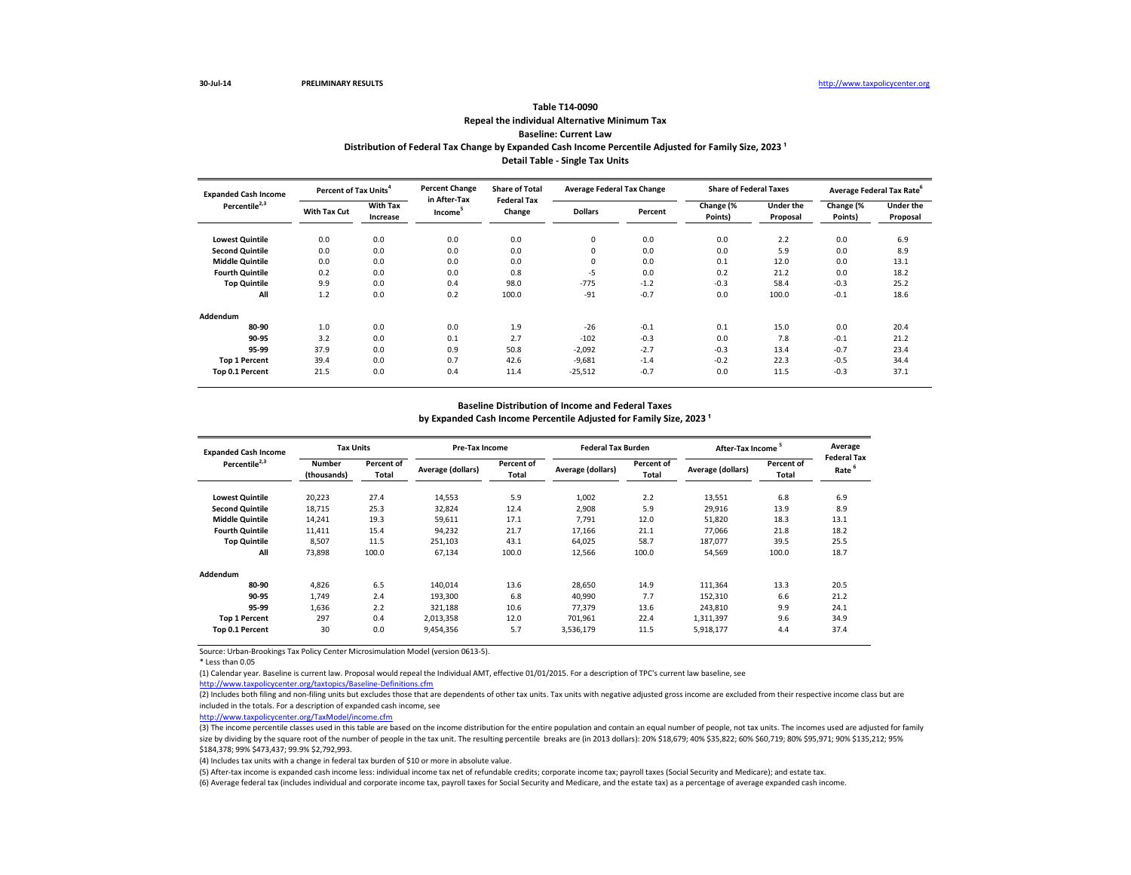# **Repeal the individual Alternative Minimum Tax Baseline: Current Law Table T14-0090** Distribution of Federal Tax Change by Expanded Cash Income Percentile Adjusted for Family Size, 2023<sup>1</sup> **Detail Table - Single Tax Units**

| <b>Expanded Cash Income</b> | Percent of Tax Units <sup>4</sup> |                             | <b>Percent Change</b>               | <b>Share of Total</b><br><b>Federal Tax</b> | <b>Average Federal Tax Change</b> |         | <b>Share of Federal Taxes</b> |                              |                      | Average Federal Tax Rate <sup>o</sup> |
|-----------------------------|-----------------------------------|-----------------------------|-------------------------------------|---------------------------------------------|-----------------------------------|---------|-------------------------------|------------------------------|----------------------|---------------------------------------|
| Percentile <sup>2,3</sup>   | With Tax Cut                      | <b>With Tax</b><br>Increase | in After-Tax<br>Income <sup>5</sup> | Change                                      | <b>Dollars</b>                    | Percent | Change (%<br>Points)          | <b>Under the</b><br>Proposal | Change (%<br>Points) | <b>Under the</b><br>Proposal          |
| <b>Lowest Quintile</b>      | 0.0                               | 0.0                         | 0.0                                 | 0.0                                         | 0                                 | 0.0     | 0.0                           | 2.2                          | 0.0                  | 6.9                                   |
| <b>Second Quintile</b>      | 0.0                               | 0.0                         | 0.0                                 | 0.0                                         | 0                                 | 0.0     | 0.0                           | 5.9                          | 0.0                  | 8.9                                   |
| <b>Middle Quintile</b>      | 0.0                               | 0.0                         | 0.0                                 | 0.0                                         | 0                                 | 0.0     | 0.1                           | 12.0                         | 0.0                  | 13.1                                  |
| <b>Fourth Quintile</b>      | 0.2                               | 0.0                         | 0.0                                 | 0.8                                         | -5                                | 0.0     | 0.2                           | 21.2                         | 0.0                  | 18.2                                  |
| <b>Top Quintile</b>         | 9.9                               | 0.0                         | 0.4                                 | 98.0                                        | $-775$                            | $-1.2$  | $-0.3$                        | 58.4                         | $-0.3$               | 25.2                                  |
| All                         | 1.2                               | 0.0                         | 0.2                                 | 100.0                                       | $-91$                             | $-0.7$  | 0.0                           | 100.0                        | $-0.1$               | 18.6                                  |
| Addendum                    |                                   |                             |                                     |                                             |                                   |         |                               |                              |                      |                                       |
| 80-90                       | 1.0                               | 0.0                         | 0.0                                 | 1.9                                         | $-26$                             | $-0.1$  | 0.1                           | 15.0                         | 0.0                  | 20.4                                  |
| 90-95                       | 3.2                               | 0.0                         | 0.1                                 | 2.7                                         | $-102$                            | $-0.3$  | 0.0                           | 7.8                          | $-0.1$               | 21.2                                  |
| 95-99                       | 37.9                              | 0.0                         | 0.9                                 | 50.8                                        | $-2,092$                          | $-2.7$  | $-0.3$                        | 13.4                         | $-0.7$               | 23.4                                  |
| <b>Top 1 Percent</b>        | 39.4                              | 0.0                         | 0.7                                 | 42.6                                        | $-9,681$                          | $-1.4$  | $-0.2$                        | 22.3                         | $-0.5$               | 34.4                                  |
| Top 0.1 Percent             | 21.5                              | 0.0                         | 0.4                                 | 11.4                                        | $-25,512$                         | $-0.7$  | 0.0                           | 11.5                         | $-0.3$               | 37.1                                  |

## **Baseline Distribution of Income and Federal Taxes**

by Expanded Cash Income Percentile Adjusted for Family Size, 2023<sup>1</sup>

| <b>Expanded Cash Income</b> | <b>Tax Units</b>             |                     | <b>Pre-Tax Income</b> |                     | <b>Federal Tax Burden</b> |                     | <b>After-Tax Income</b> |                     | Average                                 |
|-----------------------------|------------------------------|---------------------|-----------------------|---------------------|---------------------------|---------------------|-------------------------|---------------------|-----------------------------------------|
| Percentile <sup>2,3</sup>   | <b>Number</b><br>(thousands) | Percent of<br>Total | Average (dollars)     | Percent of<br>Total | Average (dollars)         | Percent of<br>Total | Average (dollars)       | Percent of<br>Total | <b>Federal Tax</b><br>Rate <sup>6</sup> |
| <b>Lowest Quintile</b>      | 20,223                       | 27.4                | 14,553                | 5.9                 | 1,002                     | 2.2                 | 13,551                  | 6.8                 | 6.9                                     |
| <b>Second Quintile</b>      | 18,715                       | 25.3                | 32.824                | 12.4                | 2,908                     | 5.9                 | 29,916                  | 13.9                | 8.9                                     |
| <b>Middle Quintile</b>      | 14,241                       | 19.3                | 59,611                | 17.1                | 7,791                     | 12.0                | 51,820                  | 18.3                | 13.1                                    |
| <b>Fourth Quintile</b>      | 11,411                       | 15.4                | 94,232                | 21.7                | 17,166                    | 21.1                | 77.066                  | 21.8                | 18.2                                    |
| <b>Top Quintile</b>         | 8,507                        | 11.5                | 251,103               | 43.1                | 64,025                    | 58.7                | 187,077                 | 39.5                | 25.5                                    |
| All                         | 73,898                       | 100.0               | 67,134                | 100.0               | 12,566                    | 100.0               | 54,569                  | 100.0               | 18.7                                    |
| Addendum                    |                              |                     |                       |                     |                           |                     |                         |                     |                                         |
| 80-90                       | 4.826                        | 6.5                 | 140,014               | 13.6                | 28,650                    | 14.9                | 111,364                 | 13.3                | 20.5                                    |
| 90-95                       | 1.749                        | 2.4                 | 193,300               | 6.8                 | 40,990                    | 7.7                 | 152,310                 | 6.6                 | 21.2                                    |
| 95-99                       | 1,636                        | 2.2                 | 321,188               | 10.6                | 77,379                    | 13.6                | 243,810                 | 9.9                 | 24.1                                    |
| <b>Top 1 Percent</b>        | 297                          | 0.4                 | 2,013,358             | 12.0                | 701,961                   | 22.4                | 1,311,397               | 9.6                 | 34.9                                    |
| Top 0.1 Percent             | 30                           | 0.0                 | 9,454,356             | 5.7                 | 3,536,179                 | 11.5                | 5,918,177               | 4.4                 | 37.4                                    |

Source: Urban-Brookings Tax Policy Center Microsimulation Model (version 0613-5).

\* Less than 0.05

(1) Calendar year. Baseline is current law. Proposal would repeal the Individual AMT, effective 01/01/2015. For a description of TPC's current law baseline, see

<http://www.taxpolicycenter.org/taxtopics/Baseline-Definitions.cfm>

(2) Includes both filing and non-filing units but excludes those that are dependents of other tax units. Tax units with negative adjusted gross income are excluded from their respective income class but are included in the totals. For a description of expanded cash income, see

<http://www.taxpolicycenter.org/TaxModel/income.cfm>

(3) The income percentile classes used in this table are based on the income distribution for the entire population and contain an equal number of people, not tax units. The incomes used are adjusted for family size by dividing by the square root of the number of people in the tax unit. The resulting percentile breaks are (in 2013 dollars): 20% \$18,679; 40% \$18,822; 60% \$60,719; 80% \$95,971; 90% \$135,212; 95% \$184,378; 99% \$473,437; 99.9% \$2,792,993.

(4) Includes tax units with a change in federal tax burden of \$10 or more in absolute value.

(5) After-tax income is expanded cash income less: individual income tax net of refundable credits; corporate income tax; payroll taxes (Social Security and Medicare); and estate tax.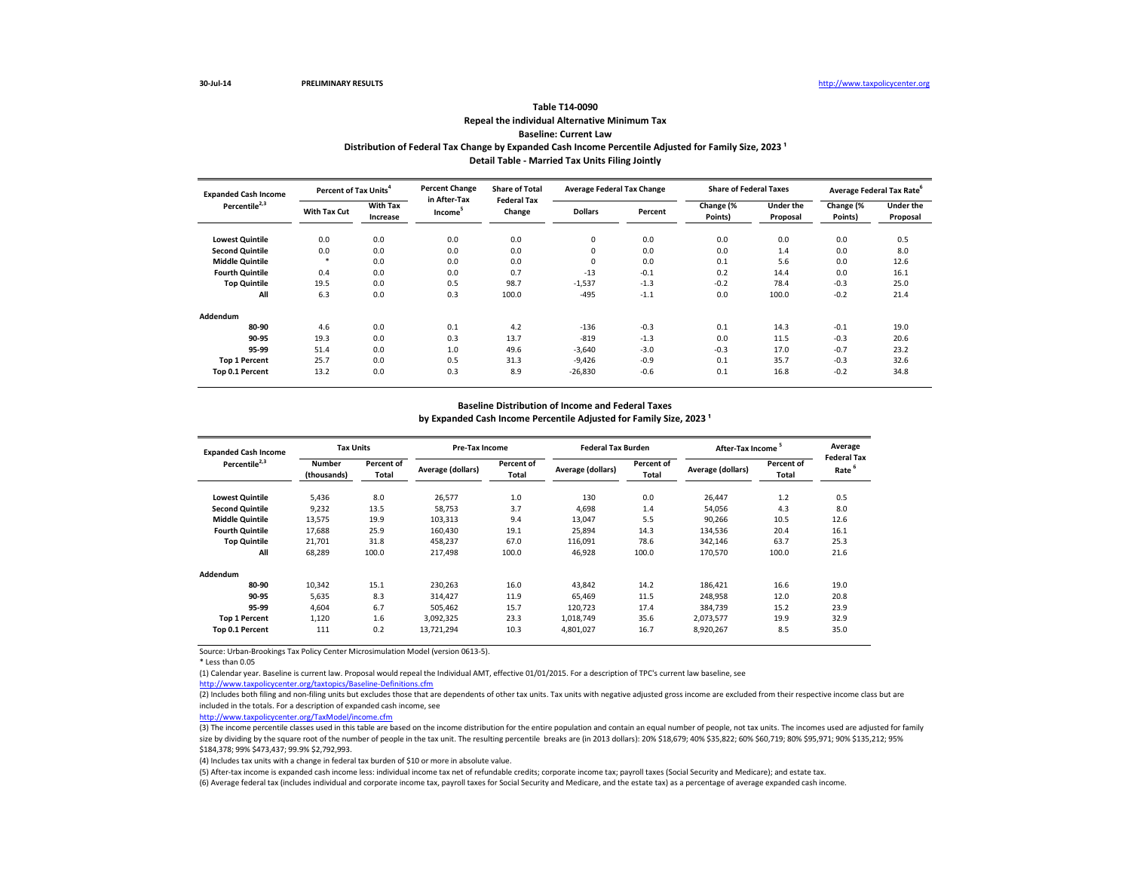# **Repeal the individual Alternative Minimum Tax Baseline: Current Law Table T14-0090** Distribution of Federal Tax Change by Expanded Cash Income Percentile Adjusted for Family Size, 2023<sup>1</sup> **Detail Table - Married Tax Units Filing Jointly**

| <b>Expanded Cash Income</b> | Percent of Tax Units <sup>4</sup> |                             | <b>Percent Change</b>               | <b>Share of Total</b><br><b>Federal Tax</b> | <b>Average Federal Tax Change</b> |         | <b>Share of Federal Taxes</b> |                              |                      | Average Federal Tax Rate <sup>o</sup> |
|-----------------------------|-----------------------------------|-----------------------------|-------------------------------------|---------------------------------------------|-----------------------------------|---------|-------------------------------|------------------------------|----------------------|---------------------------------------|
| Percentile <sup>2,3</sup>   | With Tax Cut                      | <b>With Tax</b><br>Increase | in After-Tax<br>Income <sup>5</sup> | Change                                      | <b>Dollars</b>                    | Percent | Change (%<br>Points)          | <b>Under the</b><br>Proposal | Change (%<br>Points) | <b>Under the</b><br>Proposal          |
| <b>Lowest Quintile</b>      | 0.0                               | 0.0                         | 0.0                                 | 0.0                                         | 0                                 | 0.0     | 0.0                           | 0.0                          | 0.0                  | 0.5                                   |
| <b>Second Quintile</b>      | 0.0                               | 0.0                         | 0.0                                 | 0.0                                         | 0                                 | 0.0     | 0.0                           | 1.4                          | 0.0                  | 8.0                                   |
| <b>Middle Quintile</b>      | *                                 | 0.0                         | 0.0                                 | 0.0                                         | 0                                 | 0.0     | 0.1                           | 5.6                          | 0.0                  | 12.6                                  |
| <b>Fourth Quintile</b>      | 0.4                               | 0.0                         | 0.0                                 | 0.7                                         | $-13$                             | $-0.1$  | 0.2                           | 14.4                         | 0.0                  | 16.1                                  |
| <b>Top Quintile</b>         | 19.5                              | 0.0                         | 0.5                                 | 98.7                                        | $-1,537$                          | $-1.3$  | $-0.2$                        | 78.4                         | $-0.3$               | 25.0                                  |
| All                         | 6.3                               | 0.0                         | 0.3                                 | 100.0                                       | $-495$                            | $-1.1$  | 0.0                           | 100.0                        | $-0.2$               | 21.4                                  |
| Addendum                    |                                   |                             |                                     |                                             |                                   |         |                               |                              |                      |                                       |
| 80-90                       | 4.6                               | 0.0                         | 0.1                                 | 4.2                                         | $-136$                            | $-0.3$  | 0.1                           | 14.3                         | $-0.1$               | 19.0                                  |
| 90-95                       | 19.3                              | 0.0                         | 0.3                                 | 13.7                                        | $-819$                            | $-1.3$  | 0.0                           | 11.5                         | $-0.3$               | 20.6                                  |
| 95-99                       | 51.4                              | 0.0                         | 1.0                                 | 49.6                                        | $-3,640$                          | $-3.0$  | $-0.3$                        | 17.0                         | $-0.7$               | 23.2                                  |
| <b>Top 1 Percent</b>        | 25.7                              | 0.0                         | 0.5                                 | 31.3                                        | $-9,426$                          | $-0.9$  | 0.1                           | 35.7                         | $-0.3$               | 32.6                                  |
| Top 0.1 Percent             | 13.2                              | 0.0                         | 0.3                                 | 8.9                                         | $-26,830$                         | $-0.6$  | 0.1                           | 16.8                         | $-0.2$               | 34.8                                  |

## **Baseline Distribution of Income and Federal Taxes**

by Expanded Cash Income Percentile Adjusted for Family Size, 2023<sup>1</sup>

| <b>Expanded Cash Income</b> |                              | <b>Tax Units</b>    |                   | <b>Pre-Tax Income</b> |                   | <b>Federal Tax Burden</b> | After-Tax Income <sup>5</sup> |                     | Average<br><b>Federal Tax</b> |
|-----------------------------|------------------------------|---------------------|-------------------|-----------------------|-------------------|---------------------------|-------------------------------|---------------------|-------------------------------|
| Percentile <sup>2,3</sup>   | <b>Number</b><br>(thousands) | Percent of<br>Total | Average (dollars) | Percent of<br>Total   | Average (dollars) | Percent of<br>Total       | Average (dollars)             | Percent of<br>Total | Rate <sup>6</sup>             |
| <b>Lowest Quintile</b>      | 5,436                        | 8.0                 | 26,577            | 1.0                   | 130               | 0.0                       | 26,447                        | 1.2                 | 0.5                           |
| <b>Second Quintile</b>      | 9,232                        | 13.5                | 58.753            | 3.7                   | 4.698             | 1.4                       | 54,056                        | 4.3                 | 8.0                           |
| <b>Middle Quintile</b>      | 13,575                       | 19.9                | 103,313           | 9.4                   | 13.047            | 5.5                       | 90,266                        | 10.5                | 12.6                          |
| <b>Fourth Quintile</b>      | 17.688                       | 25.9                | 160,430           | 19.1                  | 25,894            | 14.3                      | 134,536                       | 20.4                | 16.1                          |
| <b>Top Quintile</b>         | 21,701                       | 31.8                | 458,237           | 67.0                  | 116,091           | 78.6                      | 342,146                       | 63.7                | 25.3                          |
| All                         | 68,289                       | 100.0               | 217,498           | 100.0                 | 46,928            | 100.0                     | 170,570                       | 100.0               | 21.6                          |
| Addendum                    |                              |                     |                   |                       |                   |                           |                               |                     |                               |
| 80-90                       | 10,342                       | 15.1                | 230,263           | 16.0                  | 43,842            | 14.2                      | 186,421                       | 16.6                | 19.0                          |
| 90-95                       | 5,635                        | 8.3                 | 314,427           | 11.9                  | 65.469            | 11.5                      | 248,958                       | 12.0                | 20.8                          |
| 95-99                       | 4,604                        | 6.7                 | 505,462           | 15.7                  | 120,723           | 17.4                      | 384,739                       | 15.2                | 23.9                          |
| <b>Top 1 Percent</b>        | 1,120                        | 1.6                 | 3,092,325         | 23.3                  | 1,018,749         | 35.6                      | 2,073,577                     | 19.9                | 32.9                          |
| Top 0.1 Percent             | 111                          | 0.2                 | 13,721,294        | 10.3                  | 4,801,027         | 16.7                      | 8,920,267                     | 8.5                 | 35.0                          |

Source: Urban-Brookings Tax Policy Center Microsimulation Model (version 0613-5).

\* Less than 0.05

(1) Calendar year. Baseline is current law. Proposal would repeal the Individual AMT, effective 01/01/2015. For a description of TPC's current law baseline, see

<http://www.taxpolicycenter.org/taxtopics/Baseline-Definitions.cfm>

(2) Includes both filing and non-filing units but excludes those that are dependents of other tax units. Tax units with negative adjusted gross income are excluded from their respective income class but are included in the totals. For a description of expanded cash income, see

<http://www.taxpolicycenter.org/TaxModel/income.cfm>

(3) The income percentile classes used in this table are based on the income distribution for the entire population and contain an equal number of people, not tax units. The incomes used are adjusted for family size by dividing by the square root of the number of people in the tax unit. The resulting percentile breaks are (in 2013 dollars): 20% \$18,679; 40% \$18,822; 60% \$60,719; 80% \$95,971; 90% \$135,212; 95% \$184,378; 99% \$473,437; 99.9% \$2,792,993.

(4) Includes tax units with a change in federal tax burden of \$10 or more in absolute value.

(5) After-tax income is expanded cash income less: individual income tax net of refundable credits; corporate income tax; payroll taxes (Social Security and Medicare); and estate tax.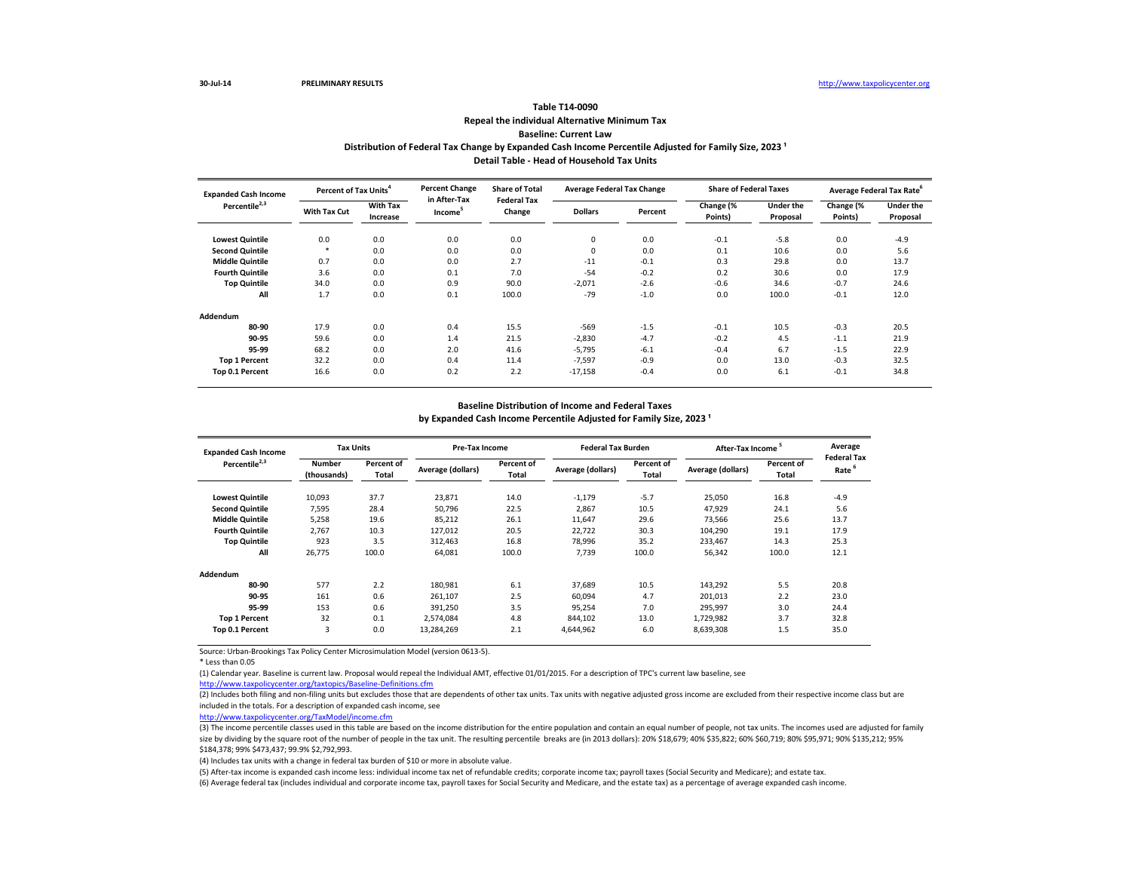## **Repeal the individual Alternative Minimum Tax Baseline: Current Law Table T14-0090** Distribution of Federal Tax Change by Expanded Cash Income Percentile Adjusted for Family Size, 2023<sup>1</sup> **Detail Table - Head of Household Tax Units**

| <b>Expanded Cash Income</b> | Percent of Tax Units <sup>4</sup> |                             | <b>Percent Change</b>               | <b>Share of Total</b><br><b>Federal Tax</b> | <b>Average Federal Tax Change</b> |         | <b>Share of Federal Taxes</b> |                              |                      | Average Federal Tax Rate <sup>o</sup> |
|-----------------------------|-----------------------------------|-----------------------------|-------------------------------------|---------------------------------------------|-----------------------------------|---------|-------------------------------|------------------------------|----------------------|---------------------------------------|
| Percentile <sup>2,3</sup>   | With Tax Cut                      | <b>With Tax</b><br>Increase | in After-Tax<br>Income <sup>5</sup> | Change                                      | <b>Dollars</b>                    | Percent | Change (%<br>Points)          | <b>Under the</b><br>Proposal | Change (%<br>Points) | <b>Under the</b><br>Proposal          |
| <b>Lowest Quintile</b>      | 0.0                               | 0.0                         | 0.0                                 | 0.0                                         | 0                                 | 0.0     | $-0.1$                        | $-5.8$                       | 0.0                  | $-4.9$                                |
| <b>Second Quintile</b>      | *                                 | 0.0                         | 0.0                                 | 0.0                                         | 0                                 | 0.0     | 0.1                           | 10.6                         | 0.0                  | 5.6                                   |
| <b>Middle Quintile</b>      | 0.7                               | 0.0                         | 0.0                                 | 2.7                                         | $-11$                             | $-0.1$  | 0.3                           | 29.8                         | 0.0                  | 13.7                                  |
| <b>Fourth Quintile</b>      | 3.6                               | 0.0                         | 0.1                                 | 7.0                                         | $-54$                             | $-0.2$  | 0.2                           | 30.6                         | 0.0                  | 17.9                                  |
| <b>Top Quintile</b>         | 34.0                              | 0.0                         | 0.9                                 | 90.0                                        | $-2,071$                          | $-2.6$  | $-0.6$                        | 34.6                         | $-0.7$               | 24.6                                  |
| All                         | 1.7                               | 0.0                         | 0.1                                 | 100.0                                       | $-79$                             | $-1.0$  | 0.0                           | 100.0                        | $-0.1$               | 12.0                                  |
| Addendum                    |                                   |                             |                                     |                                             |                                   |         |                               |                              |                      |                                       |
| 80-90                       | 17.9                              | 0.0                         | 0.4                                 | 15.5                                        | $-569$                            | $-1.5$  | $-0.1$                        | 10.5                         | $-0.3$               | 20.5                                  |
| 90-95                       | 59.6                              | 0.0                         | 1.4                                 | 21.5                                        | $-2,830$                          | $-4.7$  | $-0.2$                        | 4.5                          | $-1.1$               | 21.9                                  |
| 95-99                       | 68.2                              | 0.0                         | 2.0                                 | 41.6                                        | $-5,795$                          | $-6.1$  | $-0.4$                        | 6.7                          | $-1.5$               | 22.9                                  |
| <b>Top 1 Percent</b>        | 32.2                              | 0.0                         | 0.4                                 | 11.4                                        | $-7,597$                          | $-0.9$  | 0.0                           | 13.0                         | $-0.3$               | 32.5                                  |
| Top 0.1 Percent             | 16.6                              | 0.0                         | 0.2                                 | 2.2                                         | $-17,158$                         | $-0.4$  | 0.0                           | 6.1                          | $-0.1$               | 34.8                                  |

#### **Baseline Distribution of Income and Federal Taxes**

by Expanded Cash Income Percentile Adjusted for Family Size, 2023<sup>1</sup>

| <b>Expanded Cash Income</b> |                              | <b>Tax Units</b>    |                   | <b>Pre-Tax Income</b> |                   | <b>Federal Tax Burden</b> | <b>After-Tax Income</b> |                     | Average                                 |
|-----------------------------|------------------------------|---------------------|-------------------|-----------------------|-------------------|---------------------------|-------------------------|---------------------|-----------------------------------------|
| Percentile <sup>2,3</sup>   | <b>Number</b><br>(thousands) | Percent of<br>Total | Average (dollars) | Percent of<br>Total   | Average (dollars) | Percent of<br>Total       | Average (dollars)       | Percent of<br>Total | <b>Federal Tax</b><br>Rate <sup>6</sup> |
| <b>Lowest Quintile</b>      | 10,093                       | 37.7                | 23,871            | 14.0                  | $-1,179$          | $-5.7$                    | 25,050                  | 16.8                | $-4.9$                                  |
| <b>Second Quintile</b>      | 7.595                        | 28.4                | 50.796            | 22.5                  | 2.867             | 10.5                      | 47,929                  | 24.1                | 5.6                                     |
| <b>Middle Quintile</b>      | 5,258                        | 19.6                | 85.212            | 26.1                  | 11,647            | 29.6                      | 73,566                  | 25.6                | 13.7                                    |
| <b>Fourth Quintile</b>      | 2.767                        | 10.3                | 127,012           | 20.5                  | 22,722            | 30.3                      | 104,290                 | 19.1                | 17.9                                    |
| <b>Top Quintile</b>         | 923                          | 3.5                 | 312,463           | 16.8                  | 78,996            | 35.2                      | 233,467                 | 14.3                | 25.3                                    |
| All                         | 26,775                       | 100.0               | 64,081            | 100.0                 | 7,739             | 100.0                     | 56,342                  | 100.0               | 12.1                                    |
| Addendum                    |                              |                     |                   |                       |                   |                           |                         |                     |                                         |
| 80-90                       | 577                          | 2.2                 | 180,981           | 6.1                   | 37,689            | 10.5                      | 143,292                 | 5.5                 | 20.8                                    |
| 90-95                       | 161                          | 0.6                 | 261,107           | 2.5                   | 60.094            | 4.7                       | 201,013                 | 2.2                 | 23.0                                    |
| 95-99                       | 153                          | 0.6                 | 391,250           | 3.5                   | 95,254            | 7.0                       | 295,997                 | 3.0                 | 24.4                                    |
| <b>Top 1 Percent</b>        | 32                           | 0.1                 | 2.574.084         | 4.8                   | 844,102           | 13.0                      | 1,729,982               | 3.7                 | 32.8                                    |
| Top 0.1 Percent             | 3                            | 0.0                 | 13,284,269        | 2.1                   | 4,644,962         | 6.0                       | 8,639,308               | 1.5                 | 35.0                                    |

Source: Urban-Brookings Tax Policy Center Microsimulation Model (version 0613-5).

\* Less than 0.05

(1) Calendar year. Baseline is current law. Proposal would repeal the Individual AMT, effective 01/01/2015. For a description of TPC's current law baseline, see

<http://www.taxpolicycenter.org/taxtopics/Baseline-Definitions.cfm>

(2) Includes both filing and non-filing units but excludes those that are dependents of other tax units. Tax units with negative adjusted gross income are excluded from their respective income class but are included in the totals. For a description of expanded cash income, see

<http://www.taxpolicycenter.org/TaxModel/income.cfm>

(3) The income percentile classes used in this table are based on the income distribution for the entire population and contain an equal number of people, not tax units. The incomes used are adjusted for family size by dividing by the square root of the number of people in the tax unit. The resulting percentile breaks are (in 2013 dollars): 20% \$18,679; 40% \$18,822; 60% \$60,719; 80% \$95,971; 90% \$135,212; 95% \$184,378; 99% \$473,437; 99.9% \$2,792,993.

(4) Includes tax units with a change in federal tax burden of \$10 or more in absolute value.

(5) After-tax income is expanded cash income less: individual income tax net of refundable credits; corporate income tax; payroll taxes (Social Security and Medicare); and estate tax.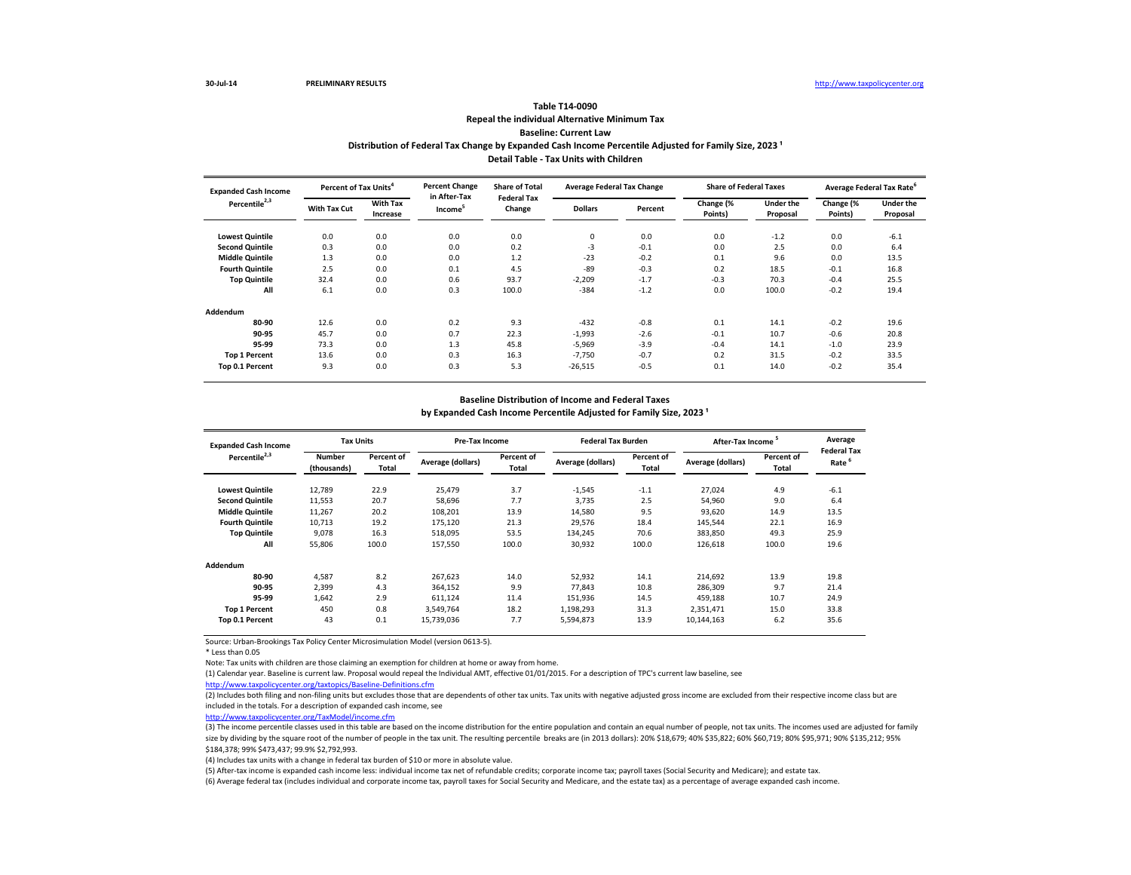# **Repeal the individual Alternative Minimum Tax Baseline: Current Law Table T14-0090** Distribution of Federal Tax Change by Expanded Cash Income Percentile Adjusted for Family Size, 2023<sup>1</sup> **Detail Table - Tax Units with Children**

| <b>Expanded Cash Income</b> | Percent of Tax Units <sup>4</sup> |                             | <b>Percent Change</b>               | <b>Share of Total</b><br><b>Federal Tax</b> | <b>Average Federal Tax Change</b> |         | <b>Share of Federal Taxes</b> |                              |                      | Average Federal Tax Rate <sup>6</sup> |
|-----------------------------|-----------------------------------|-----------------------------|-------------------------------------|---------------------------------------------|-----------------------------------|---------|-------------------------------|------------------------------|----------------------|---------------------------------------|
| Percentile <sup>2,3</sup>   | With Tax Cut                      | <b>With Tax</b><br>Increase | in After-Tax<br>Income <sup>5</sup> | Change                                      | <b>Dollars</b>                    | Percent | Change (%<br>Points)          | <b>Under the</b><br>Proposal | Change (%<br>Points) | <b>Under the</b><br>Proposal          |
| <b>Lowest Quintile</b>      | 0.0                               | 0.0                         | 0.0                                 | 0.0                                         | 0                                 | 0.0     | 0.0                           | $-1.2$                       | 0.0                  | $-6.1$                                |
| <b>Second Quintile</b>      | 0.3                               | 0.0                         | 0.0                                 | 0.2                                         | $-3$                              | $-0.1$  | 0.0                           | 2.5                          | 0.0                  | 6.4                                   |
| <b>Middle Quintile</b>      | 1.3                               | 0.0                         | 0.0                                 | 1.2                                         | $-23$                             | $-0.2$  | 0.1                           | 9.6                          | 0.0                  | 13.5                                  |
| <b>Fourth Quintile</b>      | 2.5                               | 0.0                         | 0.1                                 | 4.5                                         | $-89$                             | $-0.3$  | 0.2                           | 18.5                         | $-0.1$               | 16.8                                  |
| <b>Top Quintile</b>         | 32.4                              | 0.0                         | 0.6                                 | 93.7                                        | $-2,209$                          | $-1.7$  | $-0.3$                        | 70.3                         | $-0.4$               | 25.5                                  |
| All                         | 6.1                               | 0.0                         | 0.3                                 | 100.0                                       | $-384$                            | $-1.2$  | 0.0                           | 100.0                        | $-0.2$               | 19.4                                  |
| Addendum                    |                                   |                             |                                     |                                             |                                   |         |                               |                              |                      |                                       |
| 80-90                       | 12.6                              | 0.0                         | 0.2                                 | 9.3                                         | $-432$                            | $-0.8$  | 0.1                           | 14.1                         | $-0.2$               | 19.6                                  |
| 90-95                       | 45.7                              | 0.0                         | 0.7                                 | 22.3                                        | $-1,993$                          | $-2.6$  | $-0.1$                        | 10.7                         | $-0.6$               | 20.8                                  |
| 95-99                       | 73.3                              | 0.0                         | 1.3                                 | 45.8                                        | $-5,969$                          | $-3.9$  | $-0.4$                        | 14.1                         | $-1.0$               | 23.9                                  |
| <b>Top 1 Percent</b>        | 13.6                              | 0.0                         | 0.3                                 | 16.3                                        | $-7,750$                          | $-0.7$  | 0.2                           | 31.5                         | $-0.2$               | 33.5                                  |
| Top 0.1 Percent             | 9.3                               | 0.0                         | 0.3                                 | 5.3                                         | $-26,515$                         | $-0.5$  | 0.1                           | 14.0                         | $-0.2$               | 35.4                                  |

## **Baseline Distribution of Income and Federal Taxes**

by Expanded Cash Income Percentile Adjusted for Family Size, 2023<sup>1</sup>

| <b>Expanded Cash Income</b><br>Percentile <sup>2,3</sup> | <b>Tax Units</b>             |                            | Pre-Tax Income    |                     | <b>Federal Tax Burden</b> |                     | After-Tax Income <sup>5</sup> |                     | Average                                 |
|----------------------------------------------------------|------------------------------|----------------------------|-------------------|---------------------|---------------------------|---------------------|-------------------------------|---------------------|-----------------------------------------|
|                                                          | <b>Number</b><br>(thousands) | Percent of<br><b>Total</b> | Average (dollars) | Percent of<br>Total | Average (dollars)         | Percent of<br>Total | Average (dollars)             | Percent of<br>Total | <b>Federal Tax</b><br>Rate <sup>6</sup> |
| <b>Lowest Quintile</b>                                   | 12,789                       | 22.9                       | 25,479            | 3.7                 | $-1,545$                  | $-1.1$              | 27,024                        | 4.9                 | $-6.1$                                  |
| <b>Second Quintile</b>                                   | 11,553                       | 20.7                       | 58,696            | 7.7                 | 3,735                     | 2.5                 | 54,960                        | 9.0                 | 6.4                                     |
| <b>Middle Quintile</b>                                   | 11,267                       | 20.2                       | 108,201           | 13.9                | 14,580                    | 9.5                 | 93,620                        | 14.9                | 13.5                                    |
| <b>Fourth Quintile</b>                                   | 10,713                       | 19.2                       | 175,120           | 21.3                | 29,576                    | 18.4                | 145,544                       | 22.1                | 16.9                                    |
| <b>Top Quintile</b>                                      | 9,078                        | 16.3                       | 518,095           | 53.5                | 134,245                   | 70.6                | 383,850                       | 49.3                | 25.9                                    |
| All                                                      | 55,806                       | 100.0                      | 157,550           | 100.0               | 30,932                    | 100.0               | 126,618                       | 100.0               | 19.6                                    |
| Addendum                                                 |                              |                            |                   |                     |                           |                     |                               |                     |                                         |
| 80-90                                                    | 4,587                        | 8.2                        | 267,623           | 14.0                | 52,932                    | 14.1                | 214,692                       | 13.9                | 19.8                                    |
| 90-95                                                    | 2,399                        | 4.3                        | 364,152           | 9.9                 | 77.843                    | 10.8                | 286,309                       | 9.7                 | 21.4                                    |
| 95-99                                                    | 1,642                        | 2.9                        | 611,124           | 11.4                | 151,936                   | 14.5                | 459,188                       | 10.7                | 24.9                                    |
| <b>Top 1 Percent</b>                                     | 450                          | 0.8                        | 3.549.764         | 18.2                | 1,198,293                 | 31.3                | 2,351,471                     | 15.0                | 33.8                                    |
| Top 0.1 Percent                                          | 43                           | 0.1                        | 15,739,036        | 7.7                 | 5,594,873                 | 13.9                | 10,144,163                    | 6.2                 | 35.6                                    |

Source: Urban-Brookings Tax Policy Center Microsimulation Model (version 0613-5).

 $*$  Less than 0.05

Note: Tax units with children are those claiming an exemption for children at home or away from home.

(1) Calendar year. Baseline is current law. Proposal would repeal the Individual AMT, effective 01/01/2015. For a description of TPC's current law baseline, see

<http://www.taxpolicycenter.org/taxtopics/Baseline-Definitions.cfm>

(2) Includes both filing and non-filing units but excludes those that are dependents of other tax units. Tax units with negative adjusted gross income are excluded from their respective income class but are included in the totals. For a description of expanded cash income, see

<http://www.taxpolicycenter.org/TaxModel/income.cfm>

(3) The income percentile classes used in this table are based on the income distribution for the entire population and contain an equal number of people, not tax units. The incomes used are adjusted for family size by dividing by the square root of the number of people in the tax unit. The resulting percentile breaks are (in 2013 dollars): 20% \$18,679; 40% \$15,822; 60% \$60,719; 80% \$95,971; 90% \$135,212; 95% \$184,378; 99% \$473,437; 99.9% \$2,792,993.

(4) Includes tax units with a change in federal tax burden of \$10 or more in absolute value.

(5) After-tax income is expanded cash income less: individual income tax net of refundable credits; corporate income tax; payroll taxes (Social Security and Medicare); and estate tax. (6) Average federal tax (includes individual and corporate income tax, payroll taxes for Social Security and Medicare, and the estate tax) as a percentage of average expanded cash income.